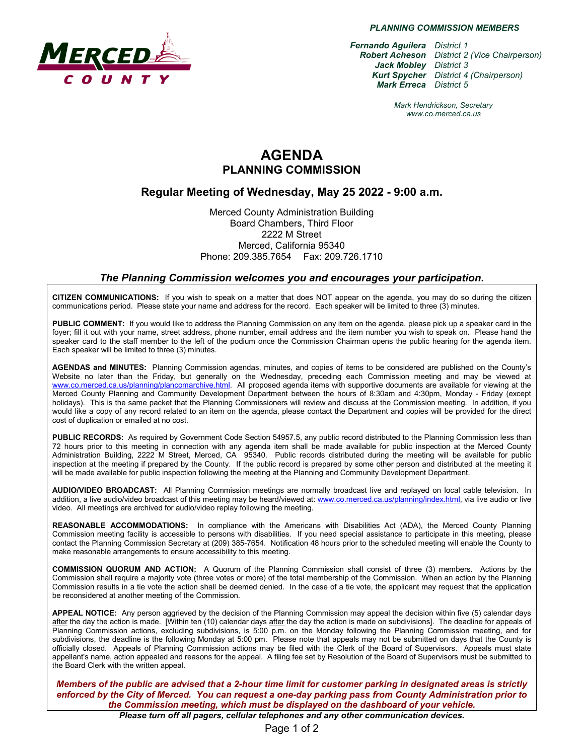

*PLANNING COMMISSION MEMBERS*

*Fernando Aguilera District 1 Robert Acheson District 2 (Vice Chairperson) Jack Mobley District 3 Kurt Spycher District 4 (Chairperson) Mark Erreca District 5*

> *Mark Hendrickson, Secretary www.co.merced.ca.us*

## **AGENDA PLANNING COMMISSION**

### **Regular Meeting of Wednesday, May 25 2022 - 9:00 a.m.**

Merced County Administration Building Board Chambers, Third Floor 2222 M Street Merced, California 95340 Phone: 209.385.7654 Fax: 209.726.1710

#### *The Planning Commission welcomes you and encourages your participation***.**

**CITIZEN COMMUNICATIONS:** If you wish to speak on a matter that does NOT appear on the agenda, you may do so during the citizen communications period. Please state your name and address for the record. Each speaker will be limited to three (3) minutes.

**PUBLIC COMMENT:** If you would like to address the Planning Commission on any item on the agenda, please pick up a speaker card in the foyer; fill it out with your name, street address, phone number, email address and the item number you wish to speak on. Please hand the speaker card to the staff member to the left of the podium once the Commission Chairman opens the public hearing for the agenda item. Each speaker will be limited to three (3) minutes.

**AGENDAS and MINUTES:** Planning Commission agendas, minutes, and copies of items to be considered are published on the County's Website no later than the Friday, but generally on the Wednesday, preceding each Commission meeting and may be viewed at [www.co.merced.ca.us/planning/plancomarchive.html.](http://www.co.merced.ca.us/planning/plancomarchive.html) All proposed agenda items with supportive documents are available for viewing at the Merced County Planning and Community Development Department between the hours of 8:30am and 4:30pm, Monday - Friday (except holidays). This is the same packet that the Planning Commissioners will review and discuss at the Commission meeting. In addition, if you would like a copy of any record related to an item on the agenda, please contact the Department and copies will be provided for the direct cost of duplication or emailed at no cost.

**PUBLIC RECORDS:** As required by Government Code Section 54957.5, any public record distributed to the Planning Commission less than 72 hours prior to this meeting in connection with any agenda item shall be made available for public inspection at the Merced County Administration Building, 2222 M Street, Merced, CA 95340. Public records distributed during the meeting will be available for public inspection at the meeting if prepared by the County. If the public record is prepared by some other person and distributed at the meeting it will be made available for public inspection following the meeting at the Planning and Community Development Department.

**AUDIO/VIDEO BROADCAST:** All Planning Commission meetings are normally broadcast live and replayed on local cable television. In addition, a live audio/video broadcast of this meeting may be heard/viewed at: [www.co.merced.ca.us/planning/index.html,](http://www.co.merced.ca.us/planning/index.html) via live audio or live video. All meetings are archived for audio/video replay following the meeting.

**REASONABLE ACCOMMODATIONS:** In compliance with the Americans with Disabilities Act (ADA), the Merced County Planning Commission meeting facility is accessible to persons with disabilities. If you need special assistance to participate in this meeting, please contact the Planning Commission Secretary at (209) 385-7654. Notification 48 hours prior to the scheduled meeting will enable the County to make reasonable arrangements to ensure accessibility to this meeting.

**COMMISSION QUORUM AND ACTION:** A Quorum of the Planning Commission shall consist of three (3) members. Actions by the Commission shall require a majority vote (three votes or more) of the total membership of the Commission. When an action by the Planning Commission results in a tie vote the action shall be deemed denied. In the case of a tie vote, the applicant may request that the application be reconsidered at another meeting of the Commission.

**APPEAL NOTICE:** Any person aggrieved by the decision of the Planning Commission may appeal the decision within five (5) calendar days after the day the action is made. [Within ten (10) calendar days after the day the action is made on subdivisions]. The deadline for appeals of Planning Commission actions, excluding subdivisions, is 5:00 p.m. on the Monday following the Planning Commission meeting, and for subdivisions, the deadline is the following Monday at 5:00 pm. Please note that appeals may not be submitted on days that the County is officially closed. Appeals of Planning Commission actions may be filed with the Clerk of the Board of Supervisors. Appeals must state appellant's name, action appealed and reasons for the appeal. A filing fee set by Resolution of the Board of Supervisors must be submitted to the Board Clerk with the written appeal.

*Members of the public are advised that a 2-hour time limit for customer parking in designated areas is strictly enforced by the City of Merced. You can request a one-day parking pass from County Administration prior to the Commission meeting, which must be displayed on the dashboard of your vehicle.*

*Please turn off all pagers, cellular telephones and any other communication devices.*